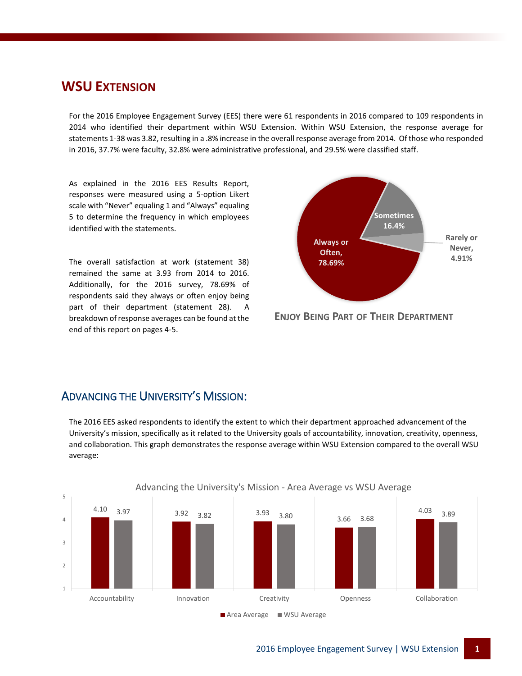#### **WSU EXTENSION**

For the 2016 Employee Engagement Survey (EES) there were 61 respondents in 2016 compared to 109 respondents in 2014 who identified their department within WSU Extension. Within WSU Extension, the response average for statements 1-38 was 3.82, resulting in a .8% increase in the overall response average from 2014. Of those who responded in 2016, 37.7% were faculty, 32.8% were administrative professional, and 29.5% were classified staff.

As explained in the 2016 EES Results Report, responses were measured using a 5-option Likert scale with "Never" equaling 1 and "Always" equaling 5 to determine the frequency in which employees identified with the statements.

The overall satisfaction at work (statement 38) remained the same at 3.93 from 2014 to 2016. Additionally, for the 2016 survey, 78.69% of respondents said they always or often enjoy being part of their department (statement 28). A breakdown of response averages can be found at the end of this report on pages 4-5.



**ENJOY BEING PART OF THEIR DEPARTMENT**

#### ADVANCING THE UNIVERSITY'S MISSION:

The 2016 EES asked respondents to identify the extent to which their department approached advancement of the University's mission, specifically as it related to the University goals of accountability, innovation, creativity, openness, and collaboration. This graph demonstrates the response average within WSU Extension compared to the overall WSU average:

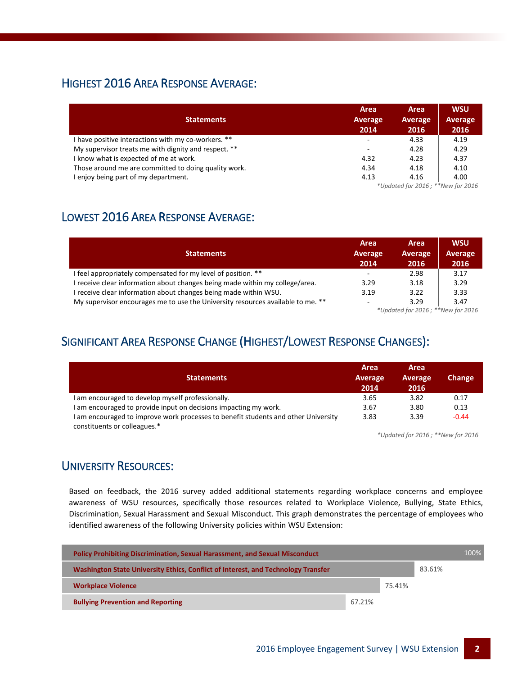### HIGHEST 2016 AREA RESPONSE AVERAGE:

|                                                      | Area                     | Area                     | <b>WSU</b>     |  |  |  |
|------------------------------------------------------|--------------------------|--------------------------|----------------|--|--|--|
| <b>Statements</b>                                    | <b>Average</b>           | Average                  | <b>Average</b> |  |  |  |
|                                                      | 2014                     | 2016                     | 2016           |  |  |  |
| I have positive interactions with my co-workers. **  | $\overline{\phantom{a}}$ | 4.33                     | 4.19           |  |  |  |
| My supervisor treats me with dignity and respect. ** | -                        | 4.28                     | 4.29           |  |  |  |
| I know what is expected of me at work.               | 4.32                     | 4.23                     | 4.37           |  |  |  |
| Those around me are committed to doing quality work. | 4.34                     | 4.18                     | 4.10           |  |  |  |
| I enjoy being part of my department.                 | 4.13                     | 4.16                     | 4.00           |  |  |  |
|                                                      |                          | $*1111100040$ $*1100040$ |                |  |  |  |

*\*Updated for 2016 ; \*\*New for 2016*

## LOWEST 2016 AREA RESPONSE AVERAGE:

|                                                                                 | Area    | Area                                                                          | <b>WSU</b>                        |
|---------------------------------------------------------------------------------|---------|-------------------------------------------------------------------------------|-----------------------------------|
| <b>Statements</b>                                                               | Average | Average                                                                       | Average                           |
|                                                                                 | 2014    | 2016                                                                          | 2016                              |
| I feel appropriately compensated for my level of position. **                   | -       | 2.98                                                                          | 3.17                              |
| I receive clear information about changes being made within my college/area.    | 3.29    | 3.18                                                                          | 3.29                              |
| I receive clear information about changes being made within WSU.                | 3.19    | 3.22                                                                          | 3.33                              |
| My supervisor encourages me to use the University resources available to me. ** | $\sim$  | 3.29<br>$\omega_{11}$ $\omega_{22}$ $\omega_{33}$ $\omega_{44}$ $\omega_{45}$ | 3.47<br>$\epsilon$ and $\epsilon$ |

*\*Updated for 2016 ; \*\*New for 2016*

## SIGNIFICANT AREA RESPONSE CHANGE (HIGHEST/LOWEST RESPONSE CHANGES):

| <b>Statements</b>                                                                                                  | Area<br>Average<br>2014 | Area<br><b>Average</b><br>2016 | Change  |
|--------------------------------------------------------------------------------------------------------------------|-------------------------|--------------------------------|---------|
| I am encouraged to develop myself professionally.                                                                  | 3.65                    | 3.82                           | 0.17    |
| I am encouraged to provide input on decisions impacting my work.                                                   | 3.67                    | 3.80                           | 0.13    |
| I am encouraged to improve work processes to benefit students and other University<br>constituents or colleagues.* | 3.83                    | 3.39                           | $-0.44$ |
| $*$ llodated for $2016 \cdot$ $*$ $*$ New for $2016$                                                               |                         |                                |         |

*\*Updated for 2016 ; \*\*New for 2016*

#### UNIVERSITY RESOURCES:

Based on feedback, the 2016 survey added additional statements regarding workplace concerns and employee awareness of WSU resources, specifically those resources related to Workplace Violence, Bullying, State Ethics, Discrimination, Sexual Harassment and Sexual Misconduct. This graph demonstrates the percentage of employees who identified awareness of the following University policies within WSU Extension:

| <b>Policy Prohibiting Discrimination, Sexual Harassment, and Sexual Misconduct</b> |        |        |        | 100% |
|------------------------------------------------------------------------------------|--------|--------|--------|------|
| Washington State University Ethics, Conflict of Interest, and Technology Transfer  |        |        | 83.61% |      |
| <b>Workplace Violence</b>                                                          |        | 75.41% |        |      |
| <b>Bullying Prevention and Reporting</b>                                           | 67.21% |        |        |      |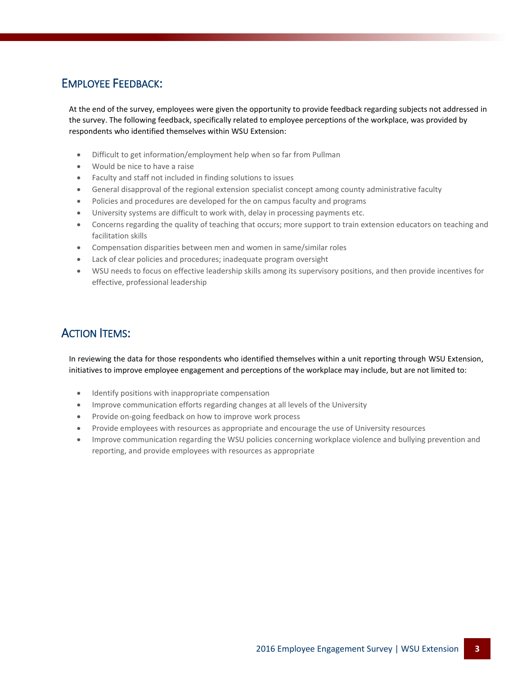### EMPLOYEE FEEDBACK:

At the end of the survey, employees were given the opportunity to provide feedback regarding subjects not addressed in the survey. The following feedback, specifically related to employee perceptions of the workplace, was provided by respondents who identified themselves within WSU Extension:

- Difficult to get information/employment help when so far from Pullman
- Would be nice to have a raise
- Faculty and staff not included in finding solutions to issues
- General disapproval of the regional extension specialist concept among county administrative faculty
- Policies and procedures are developed for the on campus faculty and programs
- University systems are difficult to work with, delay in processing payments etc.
- Concerns regarding the quality of teaching that occurs; more support to train extension educators on teaching and facilitation skills
- Compensation disparities between men and women in same/similar roles
- Lack of clear policies and procedures; inadequate program oversight
- WSU needs to focus on effective leadership skills among its supervisory positions, and then provide incentives for effective, professional leadership

## ACTION ITEMS:

In reviewing the data for those respondents who identified themselves within a unit reporting through WSU Extension, initiatives to improve employee engagement and perceptions of the workplace may include, but are not limited to:

- Identify positions with inappropriate compensation
- Improve communication efforts regarding changes at all levels of the University
- Provide on-going feedback on how to improve work process
- Provide employees with resources as appropriate and encourage the use of University resources
- Improve communication regarding the WSU policies concerning workplace violence and bullying prevention and reporting, and provide employees with resources as appropriate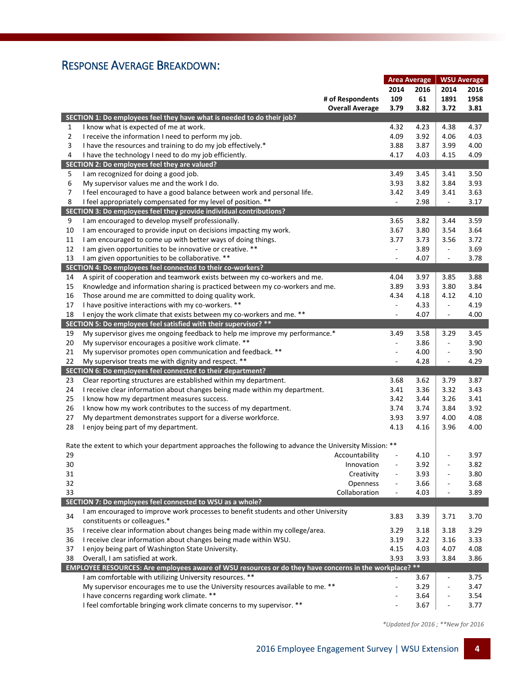## RESPONSE AVERAGE BREAKDOWN:

|                |                                                                                                         | <b>Area Average</b>      |      | <b>WSU Average</b>       |      |
|----------------|---------------------------------------------------------------------------------------------------------|--------------------------|------|--------------------------|------|
|                |                                                                                                         | 2014                     | 2016 | 2014                     | 2016 |
|                | # of Respondents                                                                                        | 109                      | 61   | 1891                     | 1958 |
|                | <b>Overall Average</b>                                                                                  | 3.79                     | 3.82 | 3.72                     | 3.81 |
|                | SECTION 1: Do employees feel they have what is needed to do their job?                                  |                          |      |                          |      |
| 1              | I know what is expected of me at work.                                                                  | 4.32                     | 4.23 | 4.38                     | 4.37 |
| $\overline{2}$ | I receive the information I need to perform my job.                                                     | 4.09                     | 3.92 | 4.06                     | 4.03 |
| 3              | I have the resources and training to do my job effectively.*                                            | 3.88                     | 3.87 | 3.99                     | 4.00 |
| 4              | I have the technology I need to do my job efficiently.                                                  | 4.17                     | 4.03 | 4.15                     | 4.09 |
|                | SECTION 2: Do employees feel they are valued?                                                           |                          |      |                          |      |
| 5              | I am recognized for doing a good job.                                                                   | 3.49                     | 3.45 | 3.41                     | 3.50 |
| 6              | My supervisor values me and the work I do.                                                              | 3.93                     | 3.82 | 3.84                     | 3.93 |
| 7              | I feel encouraged to have a good balance between work and personal life.                                | 3.42                     | 3.49 | 3.41                     | 3.63 |
| 8              | I feel appropriately compensated for my level of position. **                                           | $\blacksquare$           | 2.98 | $\overline{\phantom{a}}$ | 3.17 |
|                | SECTION 3: Do employees feel they provide individual contributions?                                     |                          |      |                          |      |
| 9              | I am encouraged to develop myself professionally.                                                       | 3.65                     | 3.82 | 3.44                     | 3.59 |
| 10             | I am encouraged to provide input on decisions impacting my work.                                        | 3.67                     | 3.80 | 3.54                     | 3.64 |
| 11             | I am encouraged to come up with better ways of doing things.                                            | 3.77                     | 3.73 | 3.56                     | 3.72 |
| 12             | I am given opportunities to be innovative or creative. **                                               | $\blacksquare$           | 3.89 | $\overline{\phantom{a}}$ | 3.69 |
| 13             | I am given opportunities to be collaborative. **                                                        | $\blacksquare$           | 4.07 | $\overline{\phantom{a}}$ | 3.78 |
|                | SECTION 4: Do employees feel connected to their co-workers?                                             |                          |      |                          |      |
| 14             | A spirit of cooperation and teamwork exists between my co-workers and me.                               | 4.04                     | 3.97 | 3.85                     | 3.88 |
| 15             | Knowledge and information sharing is practiced between my co-workers and me.                            | 3.89                     | 3.93 | 3.80                     | 3.84 |
| 16             | Those around me are committed to doing quality work.                                                    | 4.34                     | 4.18 | 4.12                     | 4.10 |
| 17             | I have positive interactions with my co-workers. **                                                     | $\blacksquare$           | 4.33 | $\sim$                   | 4.19 |
| 18             | I enjoy the work climate that exists between my co-workers and me. **                                   | ÷,                       | 4.07 | $\overline{\phantom{a}}$ | 4.00 |
|                | SECTION 5: Do employees feel satisfied with their supervisor? **                                        |                          |      |                          |      |
| 19             | My supervisor gives me ongoing feedback to help me improve my performance.*                             | 3.49                     | 3.58 | 3.29                     | 3.45 |
| 20             | My supervisor encourages a positive work climate. **                                                    | $\blacksquare$           | 3.86 | $\overline{\phantom{a}}$ | 3.90 |
| 21             | My supervisor promotes open communication and feedback. **                                              |                          | 4.00 |                          | 3.90 |
| 22             | My supervisor treats me with dignity and respect. **                                                    | $\overline{\phantom{a}}$ | 4.28 | $\blacksquare$           | 4.29 |
|                | SECTION 6: Do employees feel connected to their department?                                             |                          |      |                          |      |
| 23             | Clear reporting structures are established within my department.                                        | 3.68                     | 3.62 | 3.79                     | 3.87 |
| 24             | I receive clear information about changes being made within my department.                              | 3.41                     | 3.36 | 3.32                     | 3.43 |
| 25             | I know how my department measures success.                                                              | 3.42                     | 3.44 | 3.26                     | 3.41 |
| 26             | I know how my work contributes to the success of my department.                                         | 3.74                     | 3.74 | 3.84                     | 3.92 |
| 27             | My department demonstrates support for a diverse workforce.                                             | 3.93                     | 3.97 | 4.00                     | 4.08 |
| 28             | I enjoy being part of my department.                                                                    | 4.13                     | 4.16 | 3.96                     | 4.00 |
|                |                                                                                                         |                          |      |                          |      |
|                | Rate the extent to which your department approaches the following to advance the University Mission: ** |                          |      |                          |      |
| 29             | Accountability                                                                                          |                          | 4.10 |                          | 3.97 |
| 30             | Innovation                                                                                              |                          | 3.92 | ÷,                       | 3.82 |
| 31             | Creativity                                                                                              | ÷,                       | 3.93 |                          | 3.80 |
| 32             | Openness                                                                                                | $\overline{\phantom{a}}$ | 3.66 | $\overline{\phantom{a}}$ | 3.68 |
| 33             | Collaboration                                                                                           | $\blacksquare$           | 4.03 | L,                       | 3.89 |
|                | SECTION 7: Do employees feel connected to WSU as a whole?                                               |                          |      |                          |      |
| 34             | I am encouraged to improve work processes to benefit students and other University                      | 3.83                     | 3.39 | 3.71                     | 3.70 |
|                | constituents or colleagues.*                                                                            |                          |      |                          |      |
| 35             | I receive clear information about changes being made within my college/area.                            | 3.29                     | 3.18 | 3.18                     | 3.29 |
| 36             | I receive clear information about changes being made within WSU.                                        | 3.19                     | 3.22 | 3.16                     | 3.33 |
| 37             | I enjoy being part of Washington State University.                                                      | 4.15                     | 4.03 | 4.07                     | 4.08 |
| 38             | Overall, I am satisfied at work.                                                                        | 3.93                     | 3.93 | 3.84                     | 3.86 |
|                | EMPLOYEE RESOURCES: Are employees aware of WSU resources or do they have concerns in the workplace? **  |                          |      |                          |      |
|                | I am comfortable with utilizing University resources. **                                                |                          | 3.67 | $\overline{\phantom{a}}$ | 3.75 |
|                | My supervisor encourages me to use the University resources available to me. **                         | $\overline{\phantom{a}}$ | 3.29 | ÷,                       | 3.47 |
|                | I have concerns regarding work climate. **                                                              |                          | 3.64 |                          | 3.54 |
|                | I feel comfortable bringing work climate concerns to my supervisor. **                                  |                          | 3.67 |                          | 3.77 |

 *\*Updated for 2016 ; \*\*New for 2016*